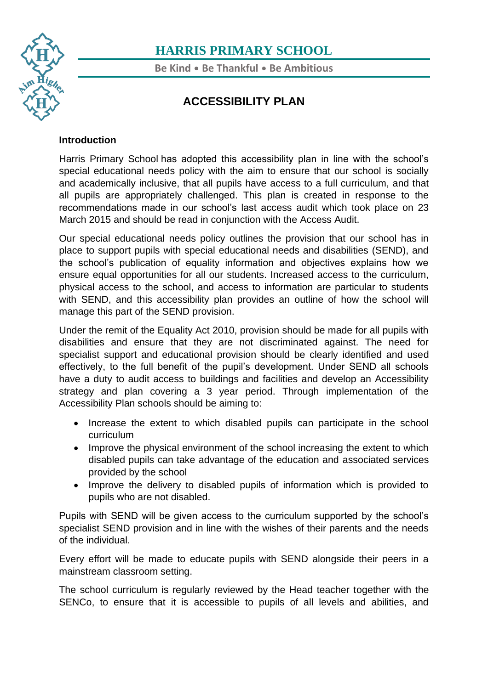

**Be Kind** • **Be Thankful** • **Be Ambitious**

### **ACCESSIBILITY PLAN**

#### **Introduction**

[Har](https://www.harris.lancs.sch.uk/contact-details/)ris Primary School has adopted this accessibility plan in line with the school's special educational needs policy with the aim to ensure that our school is socially and academically inclusive, that all pupils have access to a full curriculum, and that all pupils are appropriately challenged. This plan is created in response to the recommendations made in our school's last access audit which took place on 23 March 2015 and should be read in conjunction with the Access Audit.

Our special educational needs policy outlines the provision that our school has in place to support pupils with special educational needs and disabilities (SEND), and the school's publication of equality information and objectives explains how we ensure equal opportunities for all our students. Increased access to the curriculum, physical access to the school, and access to information are particular to students with SEND, and this accessibility plan provides an outline of how the school will manage this part of the SEND provision.

Under the remit of the Equality Act 2010, provision should be made for all pupils with disabilities and ensure that they are not discriminated against. The need for specialist support and educational provision should be clearly identified and used effectively, to the full benefit of the pupil's development. Under SEND all schools have a duty to audit access to buildings and facilities and develop an Accessibility strategy and plan covering a 3 year period. Through implementation of the Accessibility Plan schools should be aiming to:

- Increase the extent to which disabled pupils can participate in the school curriculum
- Improve the physical environment of the school increasing the extent to which disabled pupils can take advantage of the education and associated services provided by the school
- Improve the delivery to disabled pupils of information which is provided to pupils who are not disabled.

Pupils with SEND will be given access to the curriculum supported by the school's specialist SEND provision and in line with the wishes of their parents and the needs of the individual.

Every effort will be made to educate pupils with SEND alongside their peers in a mainstream classroom setting.

The school curriculum is regularly reviewed by the Head teacher together with the SENCo, to ensure that it is accessible to pupils of all levels and abilities, and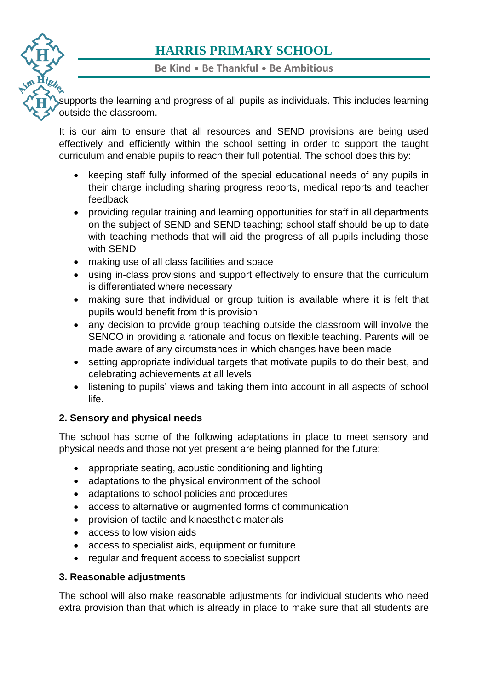**Be Kind** • **Be Thankful** • **Be Ambitious**

[sup](https://www.harris.lancs.sch.uk/)ports the learning and progress of all pupils as individuals. This includes learning outside the classroom.

It is our aim to ensure that all resources and SEND provisions are being used effectively and efficiently within the school setting in order to support the taught [curr](https://www.harris.lancs.sch.uk/contact-details/)iculum and enable pupils to reach their full potential. The school does this by:

- keeping staff fully informed of the special educational needs of any pupils in their charge including sharing progress reports, medical reports and teacher feedback
- providing regular training and learning opportunities for staff in all departments on the subject of SEND and SEND teaching; school staff should be up to date with teaching methods that will aid the progress of all pupils including those with SEND
- making use of all class facilities and space
- using in-class provisions and support effectively to ensure that the curriculum is differentiated where necessary
- making sure that individual or group tuition is available where it is felt that pupils would benefit from this provision
- any decision to provide group teaching outside the classroom will involve the SENCO in providing a rationale and focus on flexible teaching. Parents will be made aware of any circumstances in which changes have been made
- setting appropriate individual targets that motivate pupils to do their best, and celebrating achievements at all levels
- listening to pupils' views and taking them into account in all aspects of school life.

#### **2. Sensory and physical needs**

The school has some of the following adaptations in place to meet sensory and physical needs and those not yet present are being planned for the future:

- appropriate seating, acoustic conditioning and lighting
- adaptations to the physical environment of the school
- adaptations to school policies and procedures
- access to alternative or augmented forms of communication
- provision of tactile and kinaesthetic materials
- access to low vision aids
- access to specialist aids, equipment or furniture
- regular and frequent access to specialist support

#### **3. Reasonable adjustments**

The school will also make reasonable adjustments for individual students who need extra provision than that which is already in place to make sure that all students are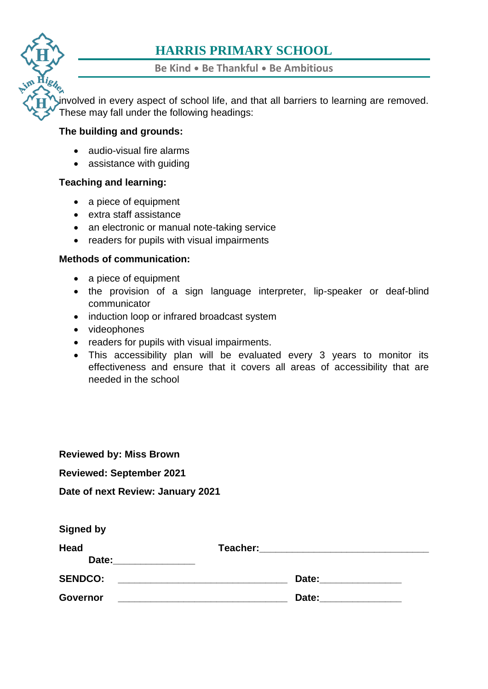**Be Kind** • **Be Thankful** • **Be Ambitious**

[invo](https://www.harris.lancs.sch.uk/)lved in every aspect of school life, and that all barriers to learning are removed. These may fall under the following headings:

#### **The building and grounds:**

- audio-visual fire alarms
- assistance with quiding

#### **Teaching and learning:**

- a piece of equipment
- extra staff assistance
- an electronic or manual note-taking service
- readers for pupils with visual impairments

#### **Methods of communication:**

- a piece of equipment
- the provision of a sign language interpreter, lip-speaker or deaf-blind communicator
- induction loop or infrared broadcast system
- videophones
- readers for pupils with visual impairments.
- This accessibility plan will be evaluated every 3 years to monitor its effectiveness and ensure that it covers all areas of accessibility that are needed in the school

| <b>Reviewed by: Miss Brown</b>    |                                   |
|-----------------------------------|-----------------------------------|
| <b>Reviewed: September 2021</b>   |                                   |
| Date of next Review: January 2021 |                                   |
| <b>Signed by</b>                  |                                   |
| <b>Head</b><br>Date:              | Teacher: ________________________ |
| <b>SENDCO:</b>                    | Date: <u>___________________</u>  |
| Governor                          | Date:                             |
|                                   |                                   |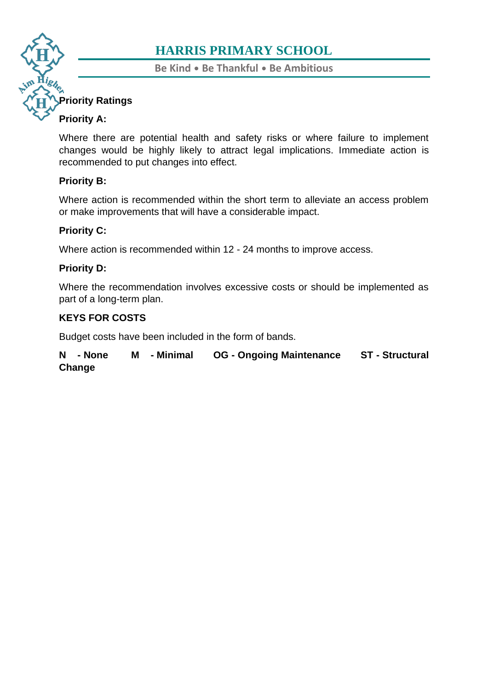**Be Kind** • **Be Thankful** • **Be Ambitious**

#### **[Prio](https://www.harris.lancs.sch.uk/)rity Ratings**

#### **Priority A:**

Where there are potential health and safety risks or where failure to implement [cha](https://www.harris.lancs.sch.uk/contact-details/)nges would be highly likely to attract legal implications. Immediate action is recommended to put changes into effect.

#### **Priority B:**

Where action is recommended within the short term to alleviate an access problem or make improvements that will have a considerable impact.

#### **Priority C:**

Where action is recommended within 12 - 24 months to improve access.

#### **Priority D:**

Where the recommendation involves excessive costs or should be implemented as part of a long-term plan.

#### **KEYS FOR COSTS**

Budget costs have been included in the form of bands.

**N - None M - Minimal OG - Ongoing Maintenance ST - Structural Change**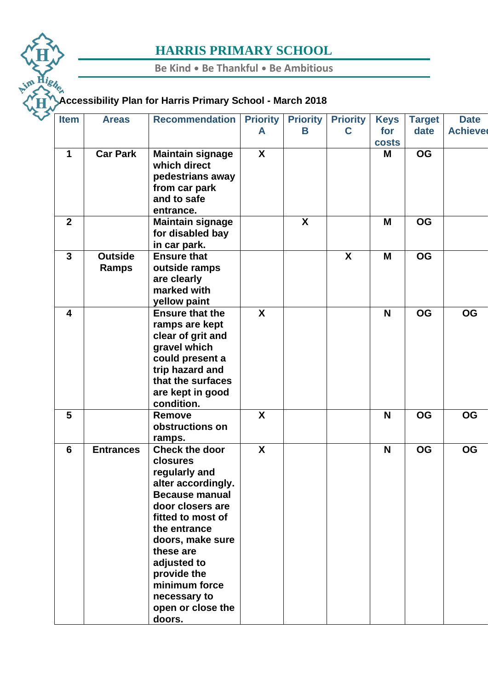**Be Kind** • **Be Thankful** • **Be Ambitious**

# im Highen **[Acc](https://www.harris.lancs.sch.uk/)essibility Plan for Harris Primary School - March 2018**

| <b>Item</b>             | <b>Areas</b>                   | <b>Recommendation</b>                                                                                                                                                                                                                                                                     | <b>Priority</b><br>A      | <b>Priority</b><br>Β | <b>Priority</b><br>C | <b>Keys</b><br>for<br><b>costs</b> | <b>Target</b><br>date | <b>Date</b><br><b>Achieved</b> |
|-------------------------|--------------------------------|-------------------------------------------------------------------------------------------------------------------------------------------------------------------------------------------------------------------------------------------------------------------------------------------|---------------------------|----------------------|----------------------|------------------------------------|-----------------------|--------------------------------|
| $\mathbf 1$             | <b>Car Park</b>                | <b>Maintain signage</b><br>which direct<br>pedestrians away<br>from car park<br>and to safe<br>entrance.                                                                                                                                                                                  | $\mathsf{X}$              |                      |                      | Μ                                  | <b>OG</b>             |                                |
| $\overline{2}$          |                                | <b>Maintain signage</b><br>for disabled bay<br>in car park.                                                                                                                                                                                                                               |                           | $\mathbf{x}$         |                      | M                                  | <b>OG</b>             |                                |
| $\mathbf{3}$            | <b>Outside</b><br><b>Ramps</b> | <b>Ensure that</b><br>outside ramps<br>are clearly<br>marked with<br>yellow paint                                                                                                                                                                                                         |                           |                      | X                    | M                                  | <b>OG</b>             |                                |
| $\overline{\mathbf{4}}$ |                                | <b>Ensure that the</b><br>ramps are kept<br>clear of grit and<br>gravel which<br>could present a<br>trip hazard and<br>that the surfaces<br>are kept in good<br>condition.                                                                                                                | $\mathsf{X}$              |                      |                      | N                                  | <b>OG</b>             | <b>OG</b>                      |
| 5                       |                                | <b>Remove</b><br>obstructions on<br>ramps.                                                                                                                                                                                                                                                | X                         |                      |                      | N                                  | <b>OG</b>             | <b>OG</b>                      |
| $6\phantom{1}6$         | <b>Entrances</b>               | <b>Check the door</b><br>closures<br>regularly and<br>alter accordingly.<br><b>Because manual</b><br>door closers are<br>fitted to most of<br>the entrance<br>doors, make sure<br>these are<br>adjusted to<br>provide the<br>minimum force<br>necessary to<br>open or close the<br>doors. | $\boldsymbol{\mathsf{X}}$ |                      |                      | N                                  | <b>OG</b>             | <b>OG</b>                      |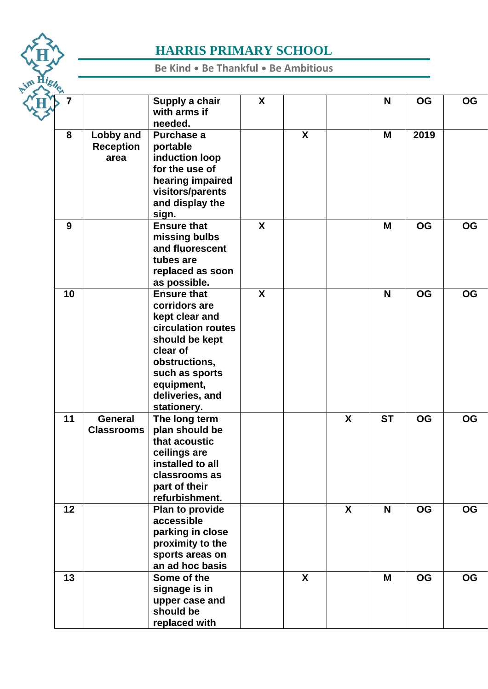

**Be Kind** • **Be Thankful** • **Be Ambitious**

|  |    |                                       | Supply a chair<br>with arms if<br>needed.                                                                                                                                                    | X            |              |              | N         | <b>OG</b> | <b>OG</b> |
|--|----|---------------------------------------|----------------------------------------------------------------------------------------------------------------------------------------------------------------------------------------------|--------------|--------------|--------------|-----------|-----------|-----------|
|  | 8  | Lobby and<br><b>Reception</b><br>area | Purchase a<br>portable<br>induction loop<br>for the use of<br>hearing impaired<br>visitors/parents<br>and display the<br>sign.                                                               |              | $\mathsf{X}$ |              | M         | 2019      |           |
|  | 9  |                                       | <b>Ensure that</b><br>missing bulbs<br>and fluorescent<br>tubes are<br>replaced as soon<br>as possible.                                                                                      | $\mathsf{X}$ |              |              | M         | <b>OG</b> | <b>OG</b> |
|  | 10 |                                       | <b>Ensure that</b><br>corridors are<br>kept clear and<br>circulation routes<br>should be kept<br>clear of<br>obstructions,<br>such as sports<br>equipment,<br>deliveries, and<br>stationery. | $\mathsf{X}$ |              |              | N         | <b>OG</b> | <b>OG</b> |
|  | 11 | <b>General</b><br><b>Classrooms</b>   | The long term<br>plan should be<br>that acoustic<br>ceilings are<br>installed to all<br>classrooms as<br>part of their<br>refurbishment.                                                     |              |              | X            | <b>ST</b> | <b>OG</b> | <b>OG</b> |
|  | 12 |                                       | Plan to provide<br>accessible<br>parking in close<br>proximity to the<br>sports areas on<br>an ad hoc basis                                                                                  |              |              | $\mathbf{x}$ | N         | <b>OG</b> | <b>OG</b> |
|  | 13 |                                       | Some of the<br>signage is in<br>upper case and<br>should be<br>replaced with                                                                                                                 |              | X            |              | Μ         | <b>OG</b> | <b>OG</b> |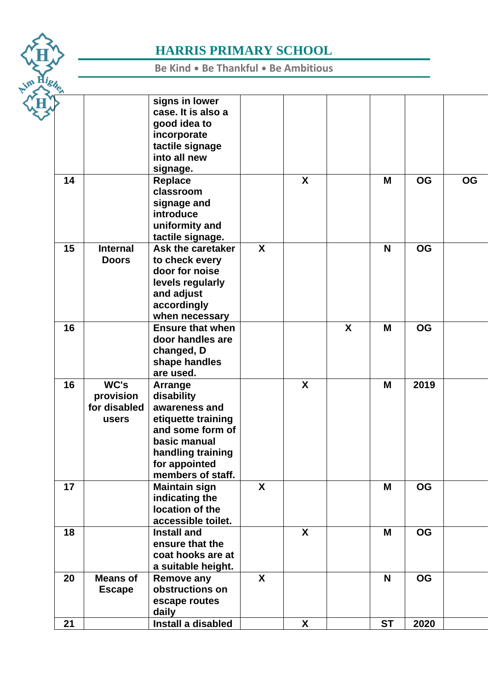

**Be Kind** • **Be Thankful** • **Be Ambitious**

|  |    |                 | signs in lower          |                  |              |   |           |           |           |
|--|----|-----------------|-------------------------|------------------|--------------|---|-----------|-----------|-----------|
|  |    |                 | case. It is also a      |                  |              |   |           |           |           |
|  |    |                 | good idea to            |                  |              |   |           |           |           |
|  |    |                 | incorporate             |                  |              |   |           |           |           |
|  |    |                 | tactile signage         |                  |              |   |           |           |           |
|  |    |                 | into all new            |                  |              |   |           |           |           |
|  |    |                 | signage.                |                  |              |   |           |           |           |
|  | 14 |                 | <b>Replace</b>          |                  | X            |   | Μ         | <b>OG</b> | <b>OG</b> |
|  |    |                 | classroom               |                  |              |   |           |           |           |
|  |    |                 | signage and             |                  |              |   |           |           |           |
|  |    |                 | introduce               |                  |              |   |           |           |           |
|  |    |                 | uniformity and          |                  |              |   |           |           |           |
|  |    |                 | tactile signage.        |                  |              |   |           |           |           |
|  | 15 | <b>Internal</b> | Ask the caretaker       | $\boldsymbol{X}$ |              |   | N         | <b>OG</b> |           |
|  |    | <b>Doors</b>    | to check every          |                  |              |   |           |           |           |
|  |    |                 | door for noise          |                  |              |   |           |           |           |
|  |    |                 | levels regularly        |                  |              |   |           |           |           |
|  |    |                 | and adjust              |                  |              |   |           |           |           |
|  |    |                 | accordingly             |                  |              |   |           |           |           |
|  |    |                 | when necessary          |                  |              |   |           |           |           |
|  | 16 |                 | <b>Ensure that when</b> |                  |              | X | M         | <b>OG</b> |           |
|  |    |                 | door handles are        |                  |              |   |           |           |           |
|  |    |                 | changed, D              |                  |              |   |           |           |           |
|  |    |                 | shape handles           |                  |              |   |           |           |           |
|  |    |                 | are used.               |                  |              |   |           |           |           |
|  | 16 | WC's            | Arrange                 |                  | $\mathsf{X}$ |   | M         | 2019      |           |
|  |    | provision       | disability              |                  |              |   |           |           |           |
|  |    | for disabled    | awareness and           |                  |              |   |           |           |           |
|  |    | users           | etiquette training      |                  |              |   |           |           |           |
|  |    |                 | and some form of        |                  |              |   |           |           |           |
|  |    |                 | basic manual            |                  |              |   |           |           |           |
|  |    |                 | handling training       |                  |              |   |           |           |           |
|  |    |                 | for appointed           |                  |              |   |           |           |           |
|  |    |                 | members of staff.       |                  |              |   |           |           |           |
|  | 17 |                 | <b>Maintain sign</b>    | $\mathsf{X}$     |              |   | M         | <b>OG</b> |           |
|  |    |                 | indicating the          |                  |              |   |           |           |           |
|  |    |                 | location of the         |                  |              |   |           |           |           |
|  |    |                 | accessible toilet.      |                  |              |   |           |           |           |
|  | 18 |                 | <b>Install and</b>      |                  | X            |   | M         | <b>OG</b> |           |
|  |    |                 | ensure that the         |                  |              |   |           |           |           |
|  |    |                 | coat hooks are at       |                  |              |   |           |           |           |
|  |    |                 | a suitable height.      |                  |              |   |           |           |           |
|  | 20 | <b>Means of</b> | <b>Remove any</b>       | X                |              |   | N         | <b>OG</b> |           |
|  |    | <b>Escape</b>   | obstructions on         |                  |              |   |           |           |           |
|  |    |                 | escape routes           |                  |              |   |           |           |           |
|  |    |                 | daily                   |                  |              |   |           |           |           |
|  | 21 |                 | Install a disabled      |                  | X            |   | <b>ST</b> | 2020      |           |